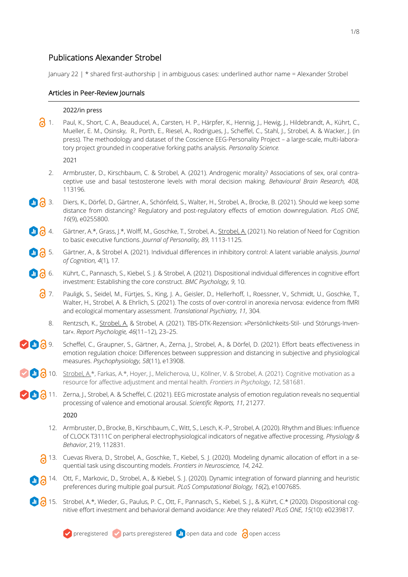# Publications Alexander Strobel

January 22 | \* shared first-authorship | in ambiguous cases: underlined author name = Alexander Strobel

# Articles in Peer-Review Journals

#### 2022/in press

1. Paul, K., Short, C. A., Beauducel, A., Carsten, H. P., Härpfer, K., Hennig, J., Hewig, J., Hildebrandt, A., Kührt, C., Mueller, E. M., Osinsky, R., Porth, E., Riesel, A., Rodrigues, J., Scheffel, C., Stahl, J., Strobel, A. & Wacker, J. (in press). The methodology and dataset of the Coscience EEG-Personality Project – a large-scale, multi-laboratory project grounded in cooperative forking paths analysis. *Personality Science.*

2021

- 2. Armbruster, D., Kirschbaum, C. & Strobel, A. (2021). Androgenic morality? Associations of sex, oral contraceptive use and basal testosterone levels with moral decision making. *Behavioural Brain Research, 408,* 113196*.*
- **10 3**. Diers, K., Dörfel, D., Gärtner, A., Schönfeld, S., Walter, H., Strobel, A., Brocke, B. (2021). Should we keep some distance from distancing? Regulatory and post-regulatory effects of emotion downregulation. *PLoS ONE, 16*(9), e0255800.
- 4. Gärtner, A.\*, Grass, J.\*, Wolff, M., Goschke, T., Strobel, A., Strobel, A. (2021). No relation of Need for Cognition to basic executive functions. *Journal of Personality, 89,* 1113-1125*.*
- 5. Gärtner, A., & Strobel A. (2021). Individual differences in inhibitory control: A latent variable analysis. *Journal of Cognition, 4*(1), 17*.*
- **6.** Kührt, C., Pannasch, S., Kiebel, S. J. & Strobel, A. (2021). Dispositional individual differences in cognitive effort investment: Establishing the core construct. *BMC Psychology, 9*, 10.
	- 7. Pauligk, S., Seidel, M., Fürtjes, S., King, J. A., Geisler, D., Hellerhoff, I., Roessner, V., Schmidt, U., Goschke, T., Walter, H., Strobel, A. & Ehrlich, S. (2021). The costs of over-control in anorexia nervosa: evidence from fMRI and ecological momentary assessment. *Translational Psychiatry, 11,* 304*.*
		- 8. Rentzsch, K., Strobel, A. & Strobel, A. (2021). TBS-DTK-Rezension: »Persönlichkeits-Stil- und Störungs-Inventar«. *Report Psychologie, 46*(11–12), 23–25.
- **8**. Scheffel, C., Graupner, S., Gärtner, A., Zerna, J., Strobel, A., & Dörfel, D. (2021). Effort beats effectiveness in emotion regulation choice: Differences between suppression and distancing in subjective and physiological measures. *Psychophysiology, 58*(11), e13908.
- 10. Strobel, A.\*, Farkas, A.\*, Hoyer, J., Melicherova, U., Köllner, V. & Strobel, A. (2021). Cognitive motivation as a resource for affective adjustment and mental health. *Frontiers in Psychology*, *12*, 581681.
- **1 . 2** 11. Zerna, J., Strobel, A. & Scheffel, C. (2021). EEG microstate analysis of emotion regulation reveals no sequential processing of valence and emotional arousal. *Scientific Reports, 11*, 21277.

2020

- 12. Armbruster, D., Brocke, B., Kirschbaum, C., Witt, S., Lesch, K.-P., Strobel, A. (2020). Rhythm and Blues: Influence of CLOCK T3111C on peripheral electrophysiological indicators of negative affective processing. *Physiology & Behavior*, 219, 112831.
- 13. Cuevas Rivera, D., Strobel, A., Goschke, T., Kiebel, S. J. (2020). Modeling dynamic allocation of effort in a sequential task using discounting models. *Frontiers in Neuroscience, 14*, 242.
- 14. Ott, F., Markovic, D., Strobel, A., & Kiebel, S. J. (2020). Dynamic integration of forward planning and heuristic preferences during multiple goal pursuit. *PLoS Computational Biology, 16*(2), e1007685.
- 15. Strobel, A.\*, Wieder, G., Paulus, P. C., Ott, F., Pannasch, S., Kiebel, S. J., & Kührt, C.\* (2020). Dispositional cognitive effort investment and behavioral demand avoidance: Are they related? *PLoS ONE, 15*(10): e0239817.

 $\vee$  preregistered  $\vee$  parts preregistered  $\Box$  open data and code  $\bigcirc$  open access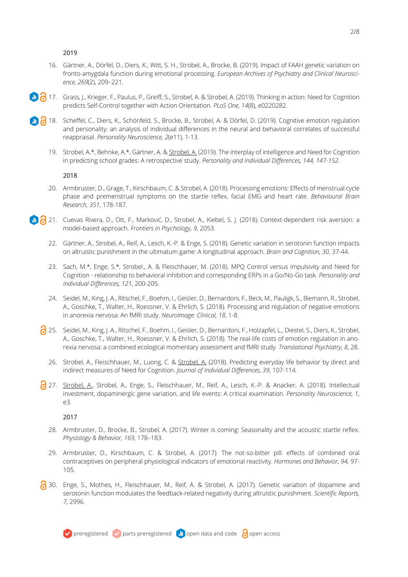- 16. Gärtner, A., Dörfel, D., Diers, K., Witt, S. H., Strobel, A., Brocke, B. (2019). Impact of FAAH genetic variation on fronto-amygdala function during emotional processing. *European Archives of Psychiatry and Clinical Neuroscience, 269*(2), 209–221*.*
- **17.** Grass, J., Krieger, F., Paulus, P., Greiff, S., Strobel, A. & Strobel, A. (2019). Thinking in action: Need for Cognition predicts Self-Control together with Action Orientation. *PLoS One, 14*(8), e0220282.
- 18. Scheffel, C., Diers, K., Schönfeld, S., Brocke, B., Strobel, A. & Dörfel, D. (2019). Cognitive emotion regulation and personality: an analysis of individual differences in the neural and behavioral correlates of successful reappraisal. *Personality Neuroscience, 2*(e11), 1-13.
	- 19. Strobel, A.\*, Behnke, A.\*, Gärtner, A. & Strobel, A. (2019). The interplay of intelligence and Need for Cognition in predicting school grades: A retrospective study. *Personality and Individual Differences, 144, 147-152.*

2018

- 20. Armbruster, D., Grage, T., Kirschbaum, C. & Strobel, A. (2018). Processing emotions: Effects of menstrual cycle phase and premenstrual symptoms on the startle reflex, facial EMG and heart rate. *Behavioural Brain Research, 351*, 178-187.
- 21. Cuevas Rivera, D., Ott, F., Marković, D., Strobel, A., Kiebel, S. J. (2018). Context-dependent risk aversion: a model-based approach. *Frontiers in Psychology, 9*, 2053.
	- 22. Gärtner, A., Strobel, A., Reif, A., Lesch, K.-P. & Enge, S. (2018). Genetic variation in serotonin function impacts on altruistic punishment in the ultimatum game: A longitudinal approach. *Brain and Cognition, 30*, 37-44.
	- 23. Sach, M.\*, Enge, S.\*, Strobel., A. & Fleischhauer, M. (2018). MPQ Control versus impulsivity and Need for Cognition - relationship to behavioral inhibition and corresponding ERPs in a Go/No-Go task. *Personality and Individual Differences, 121,* 200-205*.*
	- 24. Seidel, M., King, J. A., Ritschel, F., Boehm, I., Geisler, D., Bernardoni, F., Beck, M., Pauligk, S., Biemann, R., Strobel, A., Goschke, T., Walter, H., Roessner, V. & Ehrlich, S. (2018). Processing and regulation of negative emotions in anorexia nervosa: An fMRI study. *NeuroImage: Clinical, 18*, 1-8.
	- 25. Seidel, M., King, J. A., Ritschel, F., Boehm, I., Geisler, D., Bernardoni, F., Holzapfel, L., Diestel, S., Diers, K., Strobel, A., Goschke, T., Walter, H., Roessner, V. & Ehrlich, S. (2018). The real-life costs of emotion regulation in anorexia nervosa: a combined ecological momentary assessment and fMRI study. *Translational Psychiatry, 8*, 28.
		- 26. Strobel, A., Fleischhauer, M., Luong, C. & Strobel, A. (2018). Predicting everyday life behavior by direct and indirect measures of Need for Cognition. *Journal of Individual Differences, 39*, 107-114*.*
	- 27. Strobel, A., Strobel, A., Enge, S., Fleischhauer, M., Reif, A., Lesch, K.-P. & Anacker, A. (2018). Intellectual investment, dopaminergic gene variation, and life events: A critical examination. *Personality Neuroscience, 1*, e3*.*

- 28. Armbruster, D., Brocke, B., Strobel, A. (2017). Winter is coming: Seasonality and the acoustic startle reflex. *Physiology & Behavior, 169*, 178–183.
- 29. Armbruster, D., Kirschbaum, C. & Strobel, A. (2017). The not-so-bitter pill: effects of combined oral contraceptives on peripheral physiological indicators of emotional reactivity. *Hormones and Behavior, 94,* 97- 105.
- 30. Enge, S., Mothes, H., Fleischhauer, M., Reif, A. & Strobel, A. (2017). Genetic variation of dopamine and serotonin function modulates the feedback-related negativity during altruistic punishment. *Scientific Reports, 7,* 2996*.*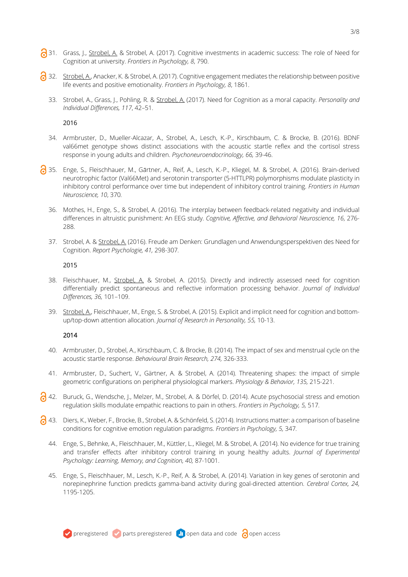- 31. Grass, J., Strobel, A. & Strobel, A. (2017). Cognitive investments in academic success: The role of Need for Cognition at university. *Frontiers in Psychology, 8*, 790.
- 32. Strobel, A., Anacker, K. & Strobel, A. (2017). Cognitive engagement mediates the relationship between positive life events and positive emotionality. *Frontiers in Psychology, 8*, 1861.
	- 33. Strobel, A., Grass, J., Pohling, R. & Strobel, A. (2017). Need for Cognition as a moral capacity. *Personality and Individual Differences, 117*, 42–51.

- 34. Armbruster, D., Mueller-Alcazar, A., Strobel, A., Lesch, K.-P., Kirschbaum, C. & Brocke, B. (2016). BDNF val66met genotype shows distinct associations with the acoustic startle reflex and the cortisol stress response in young adults and children. *Psychoneuroendocrinology, 66,* 39-46.
- 35. Enge, S., Fleischhauer, M., Gärtner, A., Reif, A., Lesch, K.-P., Kliegel, M. & Strobel, A. (2016). Brain-derived neurotrophic factor (Val66Met) and serotonin transporter (5-HTTLPR) polymorphisms modulate plasticity in inhibitory control performance over time but independent of inhibitory control training. *Frontiers in Human Neuroscience, 10*, 370*.*
	- 36. Mothes, H., Enge, S., & Strobel, A. (2016). The interplay between feedback-related negativity and individual differences in altruistic punishment: An EEG study. *Cognitive, Affective, and Behavioral Neuroscience, 16*, 276- 288.
	- 37. Strobel, A. & Strobel, A. (2016). Freude am Denken: Grundlagen und Anwendungsperspektiven des Need for Cognition. *Report Psychologie, 41,* 298-307*.*

#### 2015

- 38. Fleischhauer, M., Strobel, A. & Strobel, A. (2015). Directly and indirectly assessed need for cognition differentially predict spontaneous and reflective information processing behavior. *Journal of Individual Differences, 36,* 101–109.
- 39. Strobel, A., Fleischhauer, M., Enge, S. & Strobel, A. (2015). Explicit and implicit need for cognition and bottomup/top-down attention allocation. *Journal of Research in Personality, 55,* 10-13.

- 40. Armbruster, D., Strobel, A., Kirschbaum, C. & Brocke, B. (2014). The impact of sex and menstrual cycle on the acoustic startle response. *Behavioural Brain Research, 274,* 326-333.
- 41. Armbruster, D., Suchert, V., Gärtner, A. & Strobel, A. (2014). Threatening shapes: the impact of simple geometric configurations on peripheral physiological markers. *Physiology & Behavior, 135,* 215-221.
- 42. Buruck, G., Wendsche, J., Melzer, M., Strobel, A. & Dörfel, D. (2014). Acute psychosocial stress and emotion regulation skills modulate empathic reactions to pain in others. *Frontiers in Psychology, 5,* 517*.*
- 43. Diers, K., Weber, F., Brocke, B., Strobel, A. & Schönfeld, S. (2014). Instructions matter: a comparison of baseline conditions for cognitive emotion regulation paradigms. *Frontiers in Psychology, 5,* 347*.*
	- 44. Enge, S., Behnke, A., Fleischhauer, M., Küttler, L., Kliegel, M. & Strobel, A. (2014). No evidence for true training and transfer effects after inhibitory control training in young healthy adults. *Journal of Experimental Psychology: Learning, Memory, and Cognition, 40,* 87-1001.
	- 45. Enge, S., Fleischhauer, M., Lesch, K.-P., Reif, A. & Strobel, A. (2014). Variation in key genes of serotonin and norepinephrine function predicts gamma-band activity during goal-directed attention. *Cerebral Cortex, 24,*  1195-1205.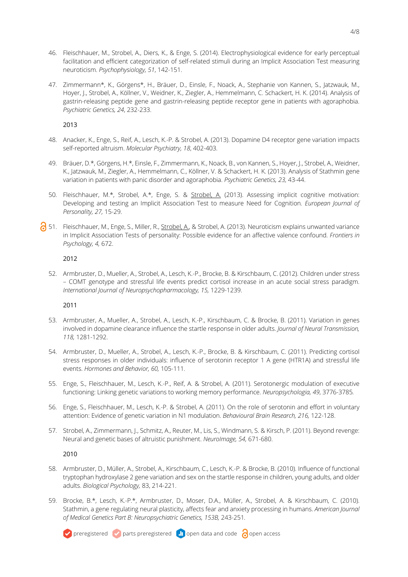- 46. Fleischhauer, M., Strobel, A., Diers, K., & Enge, S. (2014). Electrophysiological evidence for early perceptual facilitation and efficient categorization of self-related stimuli during an Implicit Association Test measuring neuroticism. *Psychophysiology, 51*, 142-151.
- 47. Zimmermann\*, K., Görgens\*, H., Bräuer, D., Einsle, F., Noack, A., Stephanie von Kannen, S., Jatzwauk, M., Hoyer, J., Strobel, A., Köllner, V., Weidner, K., Ziegler, A., Hemmelmann, C. Schackert, H. K. (2014). Analysis of gastrin-releasing peptide gene and gastrin-releasing peptide receptor gene in patients with agoraphobia. *Psychiatric Genetics, 24*, 232-233.

- 48. Anacker, K., Enge, S., Reif, A., Lesch, K.-P. & Strobel, A. (2013). Dopamine D4 receptor gene variation impacts self-reported altruism. *Molecular Psychiatry, 18*, 402-403*.*
- 49. Bräuer, D.\*, Görgens, H.\*, Einsle, F., Zimmermann, K., Noack, B., von Kannen, S., Hoyer, J., Strobel, A., Weidner, K., Jatzwauk, M., Ziegler, A., Hemmelmann, C., Köllner, V. & Schackert, H. K. (2013). Analysis of Stathmin gene variation in patients with panic disorder and agoraphobia. *Psychiatric Genetics, 23,* 43-44.
- 50. Fleischhauer, M.\*, Strobel, A.\*, Enge, S. & Strobel, A. (2013). Assessing implicit cognitive motivation: Developing and testing an Implicit Association Test to measure Need for Cognition*. European Journal of Personality, 27,* 15-29.
- 6 51. Fleischhauer, M., Enge, S., Miller, R., Strobel, A., & Strobel, A. (2013). Neuroticism explains unwanted variance in Implicit Association Tests of personality: Possible evidence for an affective valence confound. *Frontiers in Psychology, 4,* 672.

## 2012

52. Armbruster, D., Mueller, A., Strobel, A., Lesch, K.-P., Brocke, B. & Kirschbaum, C. (2012). Children under stress – COMT genotype and stressful life events predict cortisol increase in an acute social stress paradigm. *International Journal of Neuropsychopharmacology, 15,* 1229-1239.

## 2011

- 53. Armbruster, A., Mueller, A., Strobel, A., Lesch, K.-P., Kirschbaum, C. & Brocke, B. (2011). Variation in genes involved in dopamine clearance influence the startle response in older adults. *Journal of Neural Transmission, 118,* 1281-1292.
- 54. Armbruster, D., Mueller, A., Strobel, A., Lesch, K.-P., Brocke, B. & Kirschbaum, C. (2011). Predicting cortisol stress responses in older individuals: influence of serotonin receptor 1 A gene (HTR1A) and stressful life events. *Hormones and Behavior, 60,* 105-111*.*
- 55. Enge, S., Fleischhauer, M., Lesch, K.-P., Reif, A. & Strobel, A. (2011). Serotonergic modulation of executive functioning: Linking genetic variations to working memory performance. *Neuropsychologia, 49*, 3776-3785*.*
- 56. Enge, S., Fleischhauer, M., Lesch, K.-P. & Strobel, A. (2011). On the role of serotonin and effort in voluntary attention: Evidence of genetic variation in N1 modulation. *Behavioural Brain Research, 216,* 122-128.
- 57. Strobel, A., Zimmermann, J., Schmitz, A., Reuter, M., Lis, S., Windmann, S. & Kirsch, P. (2011). Beyond revenge: Neural and genetic bases of altruistic punishment. *NeuroImage, 54,* 671-680.

- 58. Armbruster, D., Müller, A., Strobel, A., Kirschbaum, C., Lesch, K.-P. & Brocke, B. (2010). Influence of functional tryptophan hydroxylase 2 gene variation and sex on the startle response in children, young adults, and older adults. *Biological Psychology,* 83, 214-221.
- 59. Brocke, B.\*, Lesch, K.-P.\*, Armbruster, D., Moser, D.A., Müller, A., Strobel, A. & Kirschbaum, C. (2010). Stathmin, a gene regulating neural plasticity, affects fear and anxiety processing in humans. *American Journal of Medical Genetics Part B: Neuropsychiatric Genetics, 153B,* 243-251*.*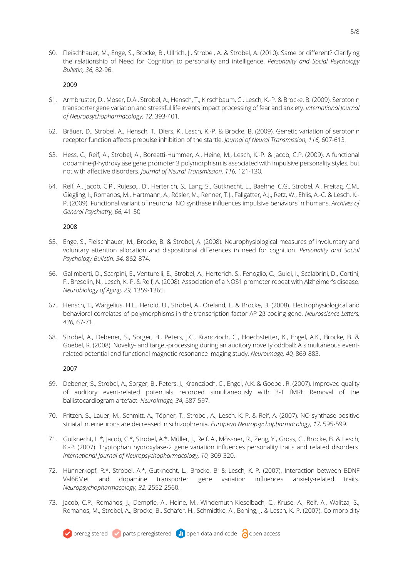60. Fleischhauer, M., Enge, S., Brocke, B., Ullrich, J., Strobel, A. & Strobel, A. (2010). Same or different? Clarifying the relationship of Need for Cognition to personality and intelligence. *Personality and Social Psychology Bulletin, 36,* 82-96.

#### 2009

- 61. Armbruster, D., Moser, D.A., Strobel, A., Hensch, T., Kirschbaum, C., Lesch, K.-P. & Brocke, B. (2009). Serotonin transporter gene variation and stressful life events impact processing of fear and anxiety. *International Journal of Neuropsychopharmacology, 12,* 393-401*.*
- 62. Bräuer, D., Strobel, A., Hensch, T., Diers, K., Lesch, K.-P. & Brocke, B. (2009). Genetic variation of serotonin receptor function affects prepulse inhibition of the startle. *Journal of Neural Transmission, 116,* 607-613*.*
- 63. Hess, C., Reif, A., Strobel, A., Boreatti-Hümmer, A., Heine, M., Lesch, K.-P. & Jacob, C.P. (2009). A functional dopamine-β-hydroxylase gene promoter 3 polymorphism is associated with impulsive personality styles, but not with affective disorders. *Journal of Neural Transmission, 116,* 121-130*.*
- 64. Reif, A., Jacob, C.P., Rujescu, D., Herterich, S., Lang, S., Gutknecht, L., Baehne, C.G., Strobel, A., Freitag, C.M., Giegling, I., Romanos, M., Hartmann, A., Rösler, M., Renner, T.J., Fallgatter, A.J., Retz, W., Ehlis, A.-C. & Lesch, K.- P. (2009). Functional variant of neuronal NO synthase influences impulsive behaviors in humans. *Archives of General Psychiatry, 66,* 41-50.

#### 2008

- 65. Enge, S., Fleischhauer, M., Brocke, B. & Strobel, A. (2008). Neurophysiological measures of involuntary and voluntary attention allocation and dispositional differences in need for cognition. *Personality and Social Psychology Bulletin, 34,* 862-874.
- 66. Galimberti, D., Scarpini, E., Venturelli, E., Strobel, A., Herterich, S., Fenoglio, C., Guidi, I., Scalabrini, D., Cortini, F., Bresolin, N., Lesch, K.-P. & Reif, A. (2008). Association of a NOS1 promoter repeat with Alzheimer's disease. *Neurobiology of Aging, 29,* 1359-1365.
- 67. Hensch, T., Wargelius, H.L., Herold, U., Strobel, A., Oreland, L. & Brocke, B. (2008). Electrophysiological and behavioral correlates of polymorphisms in the transcription factor AP-2β coding gene. *Neuroscience Letters, 436,* 67-71*.*
- 68. Strobel, A., Debener, S., Sorger, B., Peters, J.C., Kranczioch, C., Hoechstetter, K., Engel, A.K., Brocke, B. & Goebel, R. (2008). Novelty- and target-processing during an auditory novelty oddball: A simultaneous eventrelated potential and functional magnetic resonance imaging study. *NeuroImage, 40,* 869-883.

- 69. Debener, S., Strobel, A., Sorger, B., Peters, J., Kranczioch, C., Engel, A.K. & Goebel, R. (2007). Improved quality of auditory event-related potentials recorded simultaneously with 3-T fMRI: Removal of the ballistocardiogram artefact. *NeuroImage, 34,* 587-597.
- 70. Fritzen, S., Lauer, M., Schmitt, A., Töpner, T., Strobel, A., Lesch, K.-P. & Reif, A. (2007). NO synthase positive striatal interneurons are decreased in schizophrenia. *European Neuropsychopharmacology, 17,* 595-599.
- 71. Gutknecht, L.\*, Jacob, C.\*, Strobel, A.\*, Müller, J., Reif, A., Mössner, R., Zeng, Y., Gross, C., Brocke, B. & Lesch, K.-P. (2007). Tryptophan hydroxylase-2 gene variation influences personality traits and related disorders. *International Journal of Neuropsychopharmacology, 10,* 309-320.
- 72. Hünnerkopf, R.\*, Strobel, A.\*, Gutknecht, L., Brocke, B. & Lesch, K.-P. (2007). Interaction between BDNF Val66Met and dopamine transporter gene variation influences anxiety-related traits. *Neuropsychopharmacology, 32,* 2552-2560*.*
- 73. Jacob, C.P., Romanos, J., Dempfle, A., Heine, M., Windemuth-Kieselbach, C., Kruse, A., Reif, A., Walitza, S., Romanos, M., Strobel, A., Brocke, B., Schäfer, H., Schmidtke, A., Böning, J. & Lesch, K.-P. (2007). Co-morbidity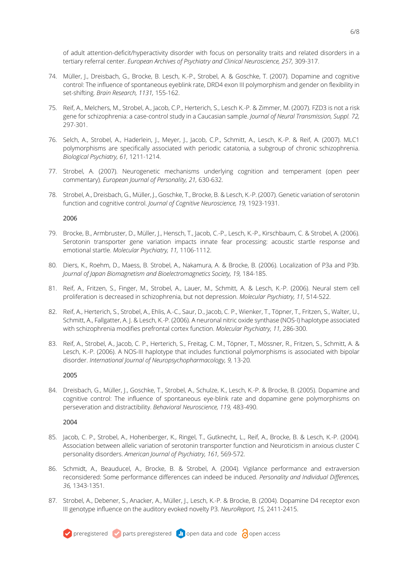of adult attention-deficit/hyperactivity disorder with focus on personality traits and related disorders in a tertiary referral center. *European Archives of Psychiatry and Clinical Neuroscience, 257, 309-317*.

- 74. Müller, J., Dreisbach, G., Brocke, B. Lesch, K.-P., Strobel, A. & Goschke, T. (2007). Dopamine and cognitive control: The influence of spontaneous eyeblink rate, DRD4 exon III polymorphism and gender on flexibility in set-shifting. *Brain Research, 1131,* 155-162.
- 75. Reif, A., Melchers, M., Strobel, A., Jacob, C.P., Herterich, S., Lesch K.-P. & Zimmer, M. (2007). FZD3 is not a risk gene for schizophrenia: a case-control study in a Caucasian sample. *Journal of Neural Transmission, Suppl. 72,*  297-301.
- 76. Selch, A., Strobel, A., Haderlein, J., Meyer, J., Jacob, C.P., Schmitt, A., Lesch, K.-P. & Reif, A. (2007). MLC1 polymorphisms are specifically associated with periodic catatonia, a subgroup of chronic schizophrenia. *Biological Psychiatry, 61,* 1211-1214.
- 77. Strobel, A. (2007). Neurogenetic mechanisms underlying cognition and temperament (open peer commentary). *European Journal of Personality, 21,* 630-632.
- 78. Strobel, A., Dreisbach, G., Müller, J., Goschke, T., Brocke, B. & Lesch, K.-P. (2007). Genetic variation of serotonin function and cognitive control. *Journal of Cognitive Neuroscience, 19,* 1923-1931*.*

## 2006

- 79. Brocke, B., Armbruster, D., Müller, J., Hensch, T., Jacob, C.-P., Lesch, K.-P., Kirschbaum, C. & Strobel, A. (2006). Serotonin transporter gene variation impacts innate fear processing: acoustic startle response and emotional startle. *Molecular Psychiatry, 11,* 1106-1112.
- 80. Diers, K., Roehm, D., Maess, B. Strobel, A., Nakamura, A. & Brocke, B. (2006). Localization of P3a and P3b. *Journal of Japan Biomagnetism and Bioelectromagnetics Society, 19,* 184-185.
- 81. Reif, A., Fritzen, S., Finger, M., Strobel, A., Lauer, M., Schmitt, A. & Lesch, K.-P. (2006). Neural stem cell proliferation is decreased in schizophrenia, but not depression. *Molecular Psychiatry, 11,* 514-522.
- 82. Reif, A., Herterich, S., Strobel, A., Ehlis, A.-C., Saur, D., Jacob, C. P., Wienker, T., Töpner, T., Fritzen, S., Walter, U., Schmitt, A., Fallgatter, A. J. & Lesch, K.-P. (2006). A neuronal nitric oxide synthase (NOS-I) haplotype associated with schizophrenia modifies prefrontal cortex function. *Molecular Psychiatry, 11,* 286-300.
- 83. Reif, A., Strobel, A., Jacob, C. P., Herterich, S., Freitag, C. M., Töpner, T., Mössner, R., Fritzen, S., Schmitt, A. & Lesch, K.-P. (2006). A NOS-III haplotype that includes functional polymorphisms is associated with bipolar disorder. *International Journal of Neuropsychopharmacology, 9,* 13-20*.*

## 2005

84. Dreisbach, G., Müller, J., Goschke, T., Strobel, A., Schulze, K., Lesch, K.-P. & Brocke, B. (2005). Dopamine and cognitive control: The influence of spontaneous eye-blink rate and dopamine gene polymorphisms on perseveration and distractibility. *Behavioral Neuroscience, 119,* 483-490.

- 85. Jacob, C. P., Strobel, A., Hohenberger, K., Ringel, T., Gutknecht, L., Reif, A., Brocke, B. & Lesch, K.-P. (2004). Association between allelic variation of serotonin transporter function and Neuroticism in anxious cluster C personality disorders. *American Journal of Psychiatry, 161,* 569-572.
- 86. Schmidt, A., Beauducel, A., Brocke, B. & Strobel, A. (2004). Vigilance performance and extraversion reconsidered: Some performance differences can indeed be induced. *Personality and Individual Differences, 36,* 1343-1351.
- 87. Strobel, A., Debener, S., Anacker, A., Müller, J., Lesch, K.-P. & Brocke, B. (2004). Dopamine D4 receptor exon III genotype influence on the auditory evoked novelty P3. *NeuroReport, 15,* 2411-2415.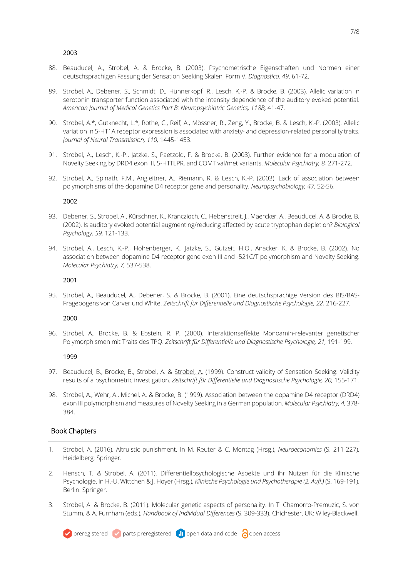- 88. Beauducel, A., Strobel, A. & Brocke, B. (2003). Psychometrische Eigenschaften und Normen einer deutschsprachigen Fassung der Sensation Seeking Skalen, Form V. *Diagnostica, 49*, 61-72.
- 89. Strobel, A., Debener, S., Schmidt, D., Hünnerkopf, R., Lesch, K.-P. & Brocke, B. (2003). Allelic variation in serotonin transporter function associated with the intensity dependence of the auditory evoked potential. *American Journal of Medical Genetics Part B: Neuropsychiatric Genetics, 118B,* 41-47.
- 90. Strobel, A.\*, Gutknecht, L.\*, Rothe, C., Reif, A., Mössner, R., Zeng, Y., Brocke, B. & Lesch, K.-P. (2003). Allelic variation in 5-HT1A receptor expression is associated with anxiety- and depression-related personality traits. *Journal of Neural Transmission, 110,* 1445-1453.
- 91. Strobel, A., Lesch, K.-P., Jatzke, S., Paetzold, F. & Brocke, B. (2003). Further evidence for a modulation of Novelty Seeking by DRD4 exon III, 5-HTTLPR, and COMT val/met variants. *Molecular Psychiatry, 8,* 271-272.
- 92. Strobel, A., Spinath, F.M., Angleitner, A., Riemann, R. & Lesch, K.-P. (2003). Lack of association between polymorphisms of the dopamine D4 receptor gene and personality. *Neuropsychobiology, 47,* 52-56.

2002

- 93. Debener, S., Strobel, A., Kürschner, K., Kranczioch, C., Hebenstreit, J., Maercker, A., Beauducel, A. & Brocke, B. (2002). Is auditory evoked potential augmenting/reducing affected by acute tryptophan depletion? *Biological Psychology, 59,* 121-133.
- 94. Strobel, A., Lesch, K.-P., Hohenberger, K., Jatzke, S., Gutzeit, H.O., Anacker, K. & Brocke, B. (2002). No association between dopamine D4 receptor gene exon III and -521C/T polymorphism and Novelty Seeking. *Molecular Psychiatry, 7,* 537-538.

#### 2001

95. Strobel, A., Beauducel, A., Debener, S. & Brocke, B. (2001). Eine deutschsprachige Version des BIS/BAS-Fragebogens von Carver und White. *Zeitschrift für Differentielle und Diagnostische Psychologie, 22,* 216-227.

## 2000

96. Strobel, A., Brocke, B. & Ebstein, R. P. (2000). Interaktionseffekte Monoamin-relevanter genetischer Polymorphismen mit Traits des TPQ. Zeitschrift für Differentielle und Diagnostische Psychologie, 21, 191-199.

## 1999

- 97. Beauducel, B., Brocke, B., Strobel, A. & Strobel, A. (1999). Construct validity of Sensation Seeking: Validity results of a psychometric investigation. *Zeitschrift für Differentielle und Diagnostische Psychologie, 20,* 155-171.
- 98. Strobel, A., Wehr, A., Michel, A. & Brocke, B. (1999). Association between the dopamine D4 receptor (DRD4) exon III polymorphism and measures of Novelty Seeking in a German population. *Molecular Psychiatry, 4,* 378- 384.

# Book Chapters

- 1. Strobel, A. (2016). Altruistic punishment. In M. Reuter & C. Montag (Hrsg.), *Neuroeconomics* (S. 211-227)*.* Heidelberg: Springer.
- 2. Hensch, T. & Strobel, A. (2011). Differentiellpsychologische Aspekte und ihr Nutzen für die Klinische Psychologie. In H.-U. Wittchen & J. Hoyer (Hrsg.), *Klinische Psychologie und Psychotherapie (2. Aufl.)* (S. 169-191). Berlin: Springer.
- 3. Strobel, A. & Brocke, B. (2011). Molecular genetic aspects of personality. In T. Chamorro-Premuzic, S. von Stumm, & A. Furnham (eds.), *Handbook of Individual Differences* (S. 309-333). Chichester, UK: Wiley-Blackwell.

**v** preregistered **v** parts preregistered **a** open data and code **a** open access